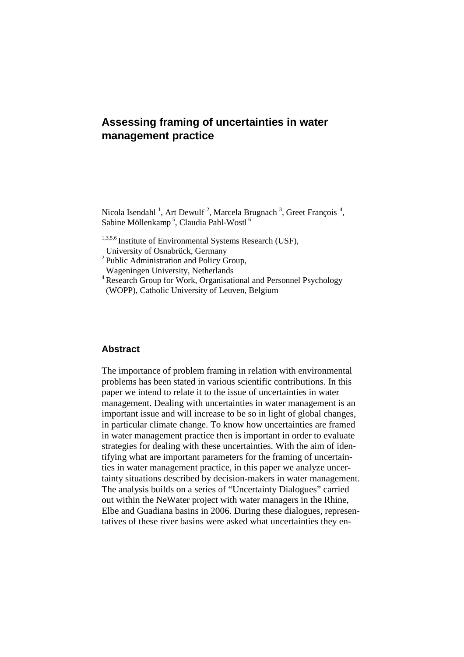# **Assessing framing of uncertainties in water management practice**

Nicola Isendahl<sup>1</sup>, Art Dewulf<sup>2</sup>, Marcela Brugnach<sup>3</sup>, Greet François<sup>4</sup>, Sabine Möllenkamp<sup>5</sup>, Claudia Pahl-Wostl<sup>6</sup>

- 1,3,5,6 Institute of Environmental Systems Research (USF),
- University of Osnabrück, Germany
- <sup>2</sup> Public Administration and Policy Group, Wageningen University, Netherlands
- <sup>4</sup> Research Group for Work, Organisational and Personnel Psychology
- (WOPP), Catholic University of Leuven, Belgium

# **Abstract**

The importance of problem framing in relation with environmental problems has been stated in various scientific contributions. In this paper we intend to relate it to the issue of uncertainties in water management. Dealing with uncertainties in water management is an important issue and will increase to be so in light of global changes, in particular climate change. To know how uncertainties are framed in water management practice then is important in order to evaluate strategies for dealing with these uncertainties. With the aim of identifying what are important parameters for the framing of uncertainties in water management practice, in this paper we analyze uncertainty situations described by decision-makers in water management. The analysis builds on a series of "Uncertainty Dialogues" carried out within the NeWater project with water managers in the Rhine, Elbe and Guadiana basins in 2006. During these dialogues, representatives of these river basins were asked what uncertainties they en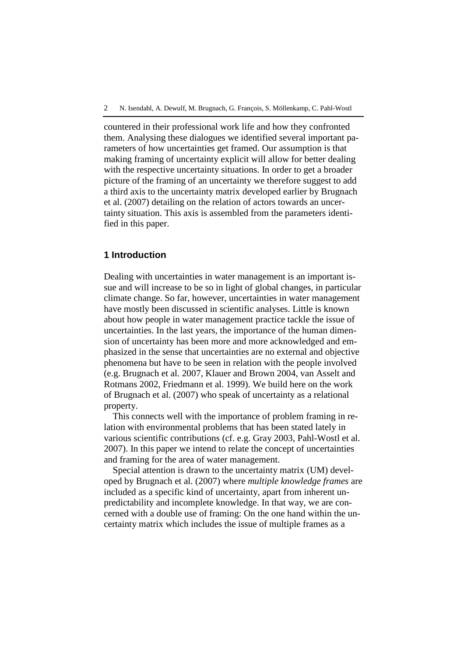countered in their professional work life and how they confronted them. Analysing these dialogues we identified several important parameters of how uncertainties get framed. Our assumption is that making framing of uncertainty explicit will allow for better dealing with the respective uncertainty situations. In order to get a broader picture of the framing of an uncertainty we therefore suggest to add a third axis to the uncertainty matrix developed earlier by Brugnach et al. (2007) detailing on the relation of actors towards an uncertainty situation. This axis is assembled from the parameters identified in this paper.

### **1 Introduction**

Dealing with uncertainties in water management is an important issue and will increase to be so in light of global changes, in particular climate change. So far, however, uncertainties in water management have mostly been discussed in scientific analyses. Little is known about how people in water management practice tackle the issue of uncertainties. In the last years, the importance of the human dimension of uncertainty has been more and more acknowledged and emphasized in the sense that uncertainties are no external and objective phenomena but have to be seen in relation with the people involved (e.g. Brugnach et al. 2007, Klauer and Brown 2004, van Asselt and Rotmans 2002, Friedmann et al. 1999). We build here on the work of Brugnach et al. (2007) who speak of uncertainty as a relational property.

This connects well with the importance of problem framing in relation with environmental problems that has been stated lately in various scientific contributions (cf. e.g. Gray 2003, Pahl-Wostl et al. 2007). In this paper we intend to relate the concept of uncertainties and framing for the area of water management.

Special attention is drawn to the uncertainty matrix (UM) developed by Brugnach et al. (2007) where *multiple knowledge frames* are included as a specific kind of uncertainty, apart from inherent unpredictability and incomplete knowledge. In that way, we are concerned with a double use of framing: On the one hand within the uncertainty matrix which includes the issue of multiple frames as a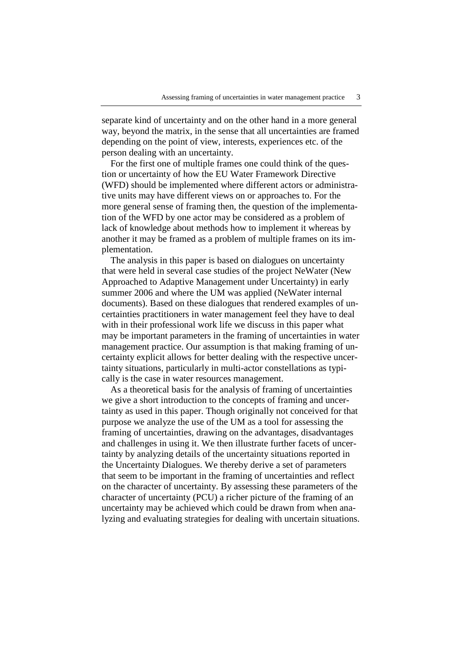separate kind of uncertainty and on the other hand in a more general way, beyond the matrix, in the sense that all uncertainties are framed depending on the point of view, interests, experiences etc. of the person dealing with an uncertainty.

For the first one of multiple frames one could think of the question or uncertainty of how the EU Water Framework Directive (WFD) should be implemented where different actors or administrative units may have different views on or approaches to. For the more general sense of framing then, the question of the implementation of the WFD by one actor may be considered as a problem of lack of knowledge about methods how to implement it whereas by another it may be framed as a problem of multiple frames on its implementation.

The analysis in this paper is based on dialogues on uncertainty that were held in several case studies of the project NeWater (New Approached to Adaptive Management under Uncertainty) in early summer 2006 and where the UM was applied (NeWater internal documents). Based on these dialogues that rendered examples of uncertainties practitioners in water management feel they have to deal with in their professional work life we discuss in this paper what may be important parameters in the framing of uncertainties in water management practice. Our assumption is that making framing of uncertainty explicit allows for better dealing with the respective uncertainty situations, particularly in multi-actor constellations as typically is the case in water resources management.

As a theoretical basis for the analysis of framing of uncertainties we give a short introduction to the concepts of framing and uncertainty as used in this paper. Though originally not conceived for that purpose we analyze the use of the UM as a tool for assessing the framing of uncertainties, drawing on the advantages, disadvantages and challenges in using it. We then illustrate further facets of uncertainty by analyzing details of the uncertainty situations reported in the Uncertainty Dialogues. We thereby derive a set of parameters that seem to be important in the framing of uncertainties and reflect on the character of uncertainty. By assessing these parameters of the character of uncertainty (PCU) a richer picture of the framing of an uncertainty may be achieved which could be drawn from when analyzing and evaluating strategies for dealing with uncertain situations.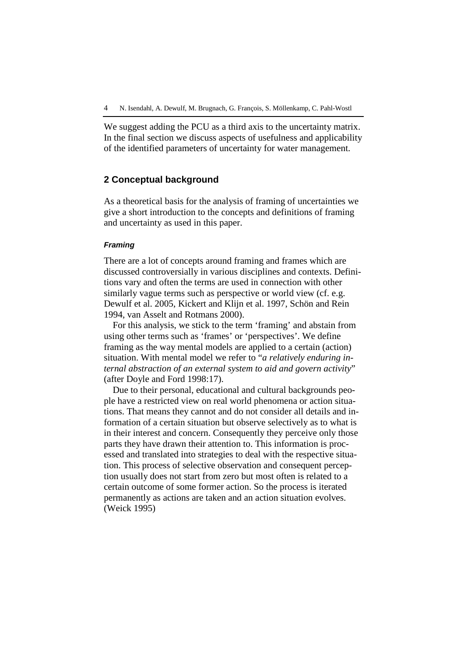We suggest adding the PCU as a third axis to the uncertainty matrix. In the final section we discuss aspects of usefulness and applicability of the identified parameters of uncertainty for water management.

### **2 Conceptual background**

As a theoretical basis for the analysis of framing of uncertainties we give a short introduction to the concepts and definitions of framing and uncertainty as used in this paper.

### **Framing**

There are a lot of concepts around framing and frames which are discussed controversially in various disciplines and contexts. Definitions vary and often the terms are used in connection with other similarly vague terms such as perspective or world view (cf. e.g. Dewulf et al. 2005, Kickert and Klijn et al. 1997, Schön and Rein 1994, van Asselt and Rotmans 2000).

For this analysis, we stick to the term 'framing' and abstain from using other terms such as 'frames' or 'perspectives'. We define framing as the way mental models are applied to a certain (action) situation. With mental model we refer to "*a relatively enduring internal abstraction of an external system to aid and govern activity*" (after Doyle and Ford 1998:17).

Due to their personal, educational and cultural backgrounds people have a restricted view on real world phenomena or action situations. That means they cannot and do not consider all details and information of a certain situation but observe selectively as to what is in their interest and concern. Consequently they perceive only those parts they have drawn their attention to. This information is processed and translated into strategies to deal with the respective situation. This process of selective observation and consequent perception usually does not start from zero but most often is related to a certain outcome of some former action. So the process is iterated permanently as actions are taken and an action situation evolves. (Weick 1995)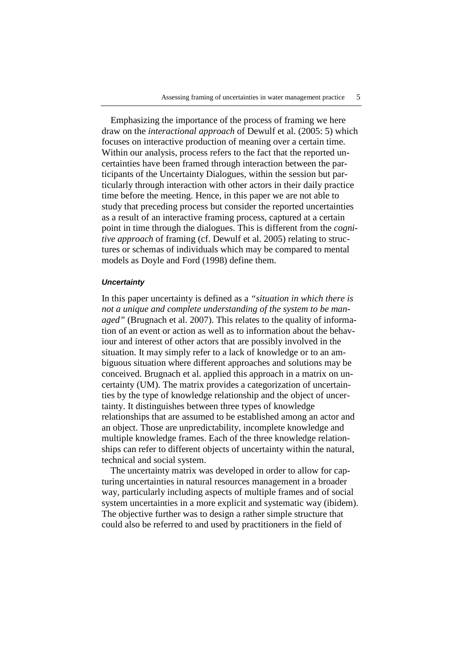Emphasizing the importance of the process of framing we here draw on the *interactional approach* of Dewulf et al. (2005: 5) which focuses on interactive production of meaning over a certain time. Within our analysis, process refers to the fact that the reported uncertainties have been framed through interaction between the participants of the Uncertainty Dialogues, within the session but particularly through interaction with other actors in their daily practice time before the meeting. Hence, in this paper we are not able to study that preceding process but consider the reported uncertainties as a result of an interactive framing process, captured at a certain point in time through the dialogues. This is different from the *cognitive approach* of framing (cf. Dewulf et al. 2005) relating to structures or schemas of individuals which may be compared to mental models as Doyle and Ford (1998) define them.

#### **Uncertainty**

In this paper uncertainty is defined as a *"situation in which there is not a unique and complete understanding of the system to be managed"* (Brugnach et al. 2007). This relates to the quality of information of an event or action as well as to information about the behaviour and interest of other actors that are possibly involved in the situation. It may simply refer to a lack of knowledge or to an ambiguous situation where different approaches and solutions may be conceived. Brugnach et al. applied this approach in a matrix on uncertainty (UM). The matrix provides a categorization of uncertainties by the type of knowledge relationship and the object of uncertainty. It distinguishes between three types of knowledge relationships that are assumed to be established among an actor and an object. Those are unpredictability, incomplete knowledge and multiple knowledge frames. Each of the three knowledge relationships can refer to different objects of uncertainty within the natural, technical and social system.

The uncertainty matrix was developed in order to allow for capturing uncertainties in natural resources management in a broader way, particularly including aspects of multiple frames and of social system uncertainties in a more explicit and systematic way (ibidem). The objective further was to design a rather simple structure that could also be referred to and used by practitioners in the field of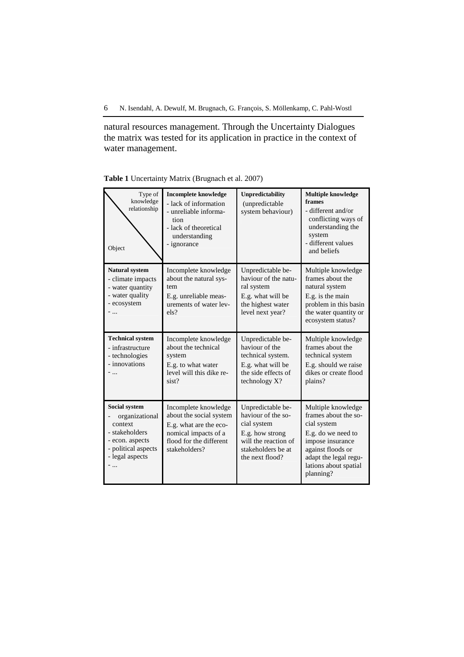6 N. Isendahl, A. Dewulf, M. Brugnach, G. François, S. Möllenkamp, C. Pahl-Wostl

natural resources management. Through the Uncertainty Dialogues the matrix was tested for its application in practice in the context of water management.

| Type of<br>knowledge<br>relationship<br>Object                                                                                   | <b>Incomplete knowledge</b><br>- lack of information<br>- unreliable informa-<br>tion<br>- lack of theoretical<br>understanding<br>- ignorance | Unpredictability<br>(unpredictable<br>system behaviour)                                                                                    | <b>Multiple knowledge</b><br>frames<br>- different and/or<br>conflicting ways of<br>understanding the<br>system<br>- different values<br>and beliefs                                    |
|----------------------------------------------------------------------------------------------------------------------------------|------------------------------------------------------------------------------------------------------------------------------------------------|--------------------------------------------------------------------------------------------------------------------------------------------|-----------------------------------------------------------------------------------------------------------------------------------------------------------------------------------------|
| <b>Natural system</b><br>- climate impacts<br>- water quantity<br>- water quality<br>- ecosystem                                 | Incomplete knowledge<br>about the natural sys-<br>tem<br>E.g. unreliable meas-<br>urements of water lev-<br>els?                               | Unpredictable be-<br>haviour of the natu-<br>ral system<br>E.g. what will be<br>the highest water<br>level next year?                      | Multiple knowledge<br>frames about the<br>natural system<br>E.g. is the main<br>problem in this basin<br>the water quantity or<br>ecosystem status?                                     |
| <b>Technical system</b><br>- infrastructure<br>- technologies<br>- innovations                                                   | Incomplete knowledge<br>about the technical<br>system<br>E.g. to what water<br>level will this dike re-<br>sist?                               | Unpredictable be-<br>haviour of the<br>technical system.<br>E.g. what will be<br>the side effects of<br>technology X?                      | Multiple knowledge<br>frames about the<br>technical system<br>E.g. should we raise<br>dikes or create flood<br>plains?                                                                  |
| <b>Social system</b><br>organizational<br>context<br>- stakeholders<br>- econ. aspects<br>- political aspects<br>- legal aspects | Incomplete knowledge<br>about the social system<br>E.g. what are the eco-<br>nomical impacts of a<br>flood for the different<br>stakeholders?  | Unpredictable be-<br>haviour of the so-<br>cial system<br>E.g. how strong<br>will the reaction of<br>stakeholders be at<br>the next flood? | Multiple knowledge<br>frames about the so-<br>cial system<br>E.g. do we need to<br>impose insurance<br>against floods or<br>adapt the legal regu-<br>lations about spatial<br>planning? |

**Table 1** Uncertainty Matrix (Brugnach et al. 2007)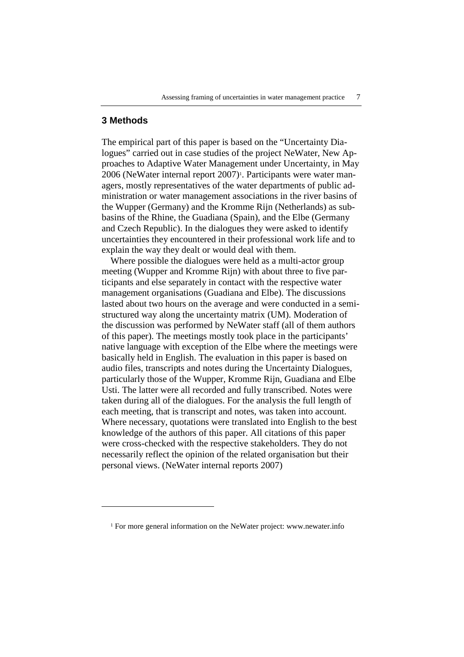### **3 Methods**

 $\overline{a}$ 

The empirical part of this paper is based on the "Uncertainty Dialogues" carried out in case studies of the project NeWater, New Approaches to Adaptive Water Management under Uncertainty, in May 2006 (NeWater internal report 2007)<sup>1</sup>. Participants were water managers, mostly representatives of the water departments of public administration or water management associations in the river basins of the Wupper (Germany) and the Kromme Rijn (Netherlands) as subbasins of the Rhine, the Guadiana (Spain), and the Elbe (Germany and Czech Republic). In the dialogues they were asked to identify uncertainties they encountered in their professional work life and to explain the way they dealt or would deal with them.

Where possible the dialogues were held as a multi-actor group meeting (Wupper and Kromme Rijn) with about three to five participants and else separately in contact with the respective water management organisations (Guadiana and Elbe). The discussions lasted about two hours on the average and were conducted in a semistructured way along the uncertainty matrix (UM). Moderation of the discussion was performed by NeWater staff (all of them authors of this paper). The meetings mostly took place in the participants' native language with exception of the Elbe where the meetings were basically held in English. The evaluation in this paper is based on audio files, transcripts and notes during the Uncertainty Dialogues, particularly those of the Wupper, Kromme Rijn, Guadiana and Elbe Usti. The latter were all recorded and fully transcribed. Notes were taken during all of the dialogues. For the analysis the full length of each meeting, that is transcript and notes, was taken into account. Where necessary, quotations were translated into English to the best knowledge of the authors of this paper. All citations of this paper were cross-checked with the respective stakeholders. They do not necessarily reflect the opinion of the related organisation but their personal views. (NeWater internal reports 2007)

<sup>&</sup>lt;sup>1</sup> For more general information on the NeWater project: www.newater.info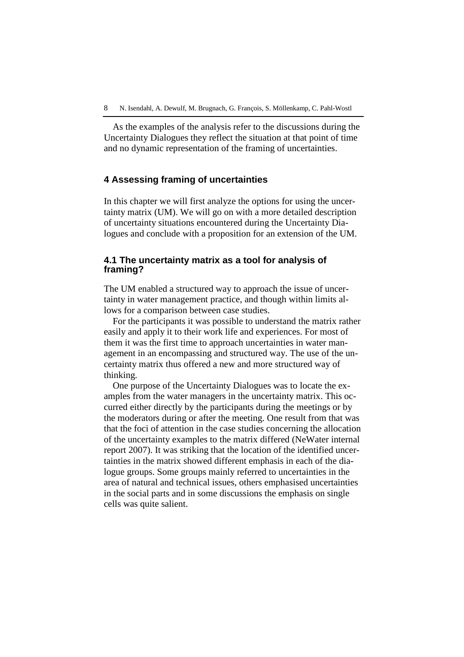As the examples of the analysis refer to the discussions during the Uncertainty Dialogues they reflect the situation at that point of time and no dynamic representation of the framing of uncertainties.

### **4 Assessing framing of uncertainties**

In this chapter we will first analyze the options for using the uncertainty matrix (UM). We will go on with a more detailed description of uncertainty situations encountered during the Uncertainty Dialogues and conclude with a proposition for an extension of the UM.

# **4.1 The uncertainty matrix as a tool for analysis of framing?**

The UM enabled a structured way to approach the issue of uncertainty in water management practice, and though within limits allows for a comparison between case studies.

For the participants it was possible to understand the matrix rather easily and apply it to their work life and experiences. For most of them it was the first time to approach uncertainties in water management in an encompassing and structured way. The use of the uncertainty matrix thus offered a new and more structured way of thinking.

One purpose of the Uncertainty Dialogues was to locate the examples from the water managers in the uncertainty matrix. This occurred either directly by the participants during the meetings or by the moderators during or after the meeting. One result from that was that the foci of attention in the case studies concerning the allocation of the uncertainty examples to the matrix differed (NeWater internal report 2007). It was striking that the location of the identified uncertainties in the matrix showed different emphasis in each of the dialogue groups. Some groups mainly referred to uncertainties in the area of natural and technical issues, others emphasised uncertainties in the social parts and in some discussions the emphasis on single cells was quite salient.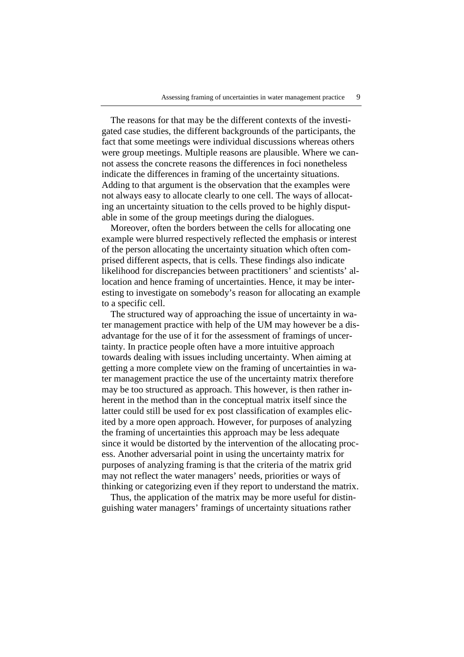The reasons for that may be the different contexts of the investigated case studies, the different backgrounds of the participants, the fact that some meetings were individual discussions whereas others were group meetings. Multiple reasons are plausible. Where we cannot assess the concrete reasons the differences in foci nonetheless indicate the differences in framing of the uncertainty situations. Adding to that argument is the observation that the examples were not always easy to allocate clearly to one cell. The ways of allocating an uncertainty situation to the cells proved to be highly disputable in some of the group meetings during the dialogues.

Moreover, often the borders between the cells for allocating one example were blurred respectively reflected the emphasis or interest of the person allocating the uncertainty situation which often comprised different aspects, that is cells. These findings also indicate likelihood for discrepancies between practitioners' and scientists' allocation and hence framing of uncertainties. Hence, it may be interesting to investigate on somebody's reason for allocating an example to a specific cell.

The structured way of approaching the issue of uncertainty in water management practice with help of the UM may however be a disadvantage for the use of it for the assessment of framings of uncertainty. In practice people often have a more intuitive approach towards dealing with issues including uncertainty. When aiming at getting a more complete view on the framing of uncertainties in water management practice the use of the uncertainty matrix therefore may be too structured as approach. This however, is then rather inherent in the method than in the conceptual matrix itself since the latter could still be used for ex post classification of examples elicited by a more open approach. However, for purposes of analyzing the framing of uncertainties this approach may be less adequate since it would be distorted by the intervention of the allocating process. Another adversarial point in using the uncertainty matrix for purposes of analyzing framing is that the criteria of the matrix grid may not reflect the water managers' needs, priorities or ways of thinking or categorizing even if they report to understand the matrix.

Thus, the application of the matrix may be more useful for distinguishing water managers' framings of uncertainty situations rather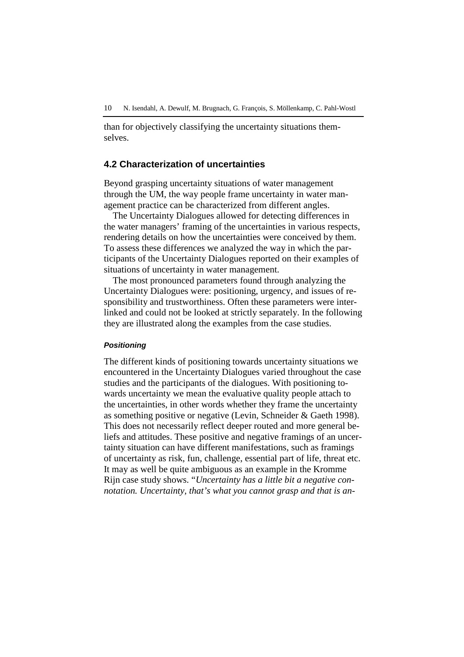than for objectively classifying the uncertainty situations themselves.

### **4.2 Characterization of uncertainties**

Beyond grasping uncertainty situations of water management through the UM, the way people frame uncertainty in water management practice can be characterized from different angles.

The Uncertainty Dialogues allowed for detecting differences in the water managers' framing of the uncertainties in various respects, rendering details on how the uncertainties were conceived by them. To assess these differences we analyzed the way in which the participants of the Uncertainty Dialogues reported on their examples of situations of uncertainty in water management.

The most pronounced parameters found through analyzing the Uncertainty Dialogues were: positioning, urgency, and issues of responsibility and trustworthiness. Often these parameters were interlinked and could not be looked at strictly separately. In the following they are illustrated along the examples from the case studies.

### **Positioning**

The different kinds of positioning towards uncertainty situations we encountered in the Uncertainty Dialogues varied throughout the case studies and the participants of the dialogues. With positioning towards uncertainty we mean the evaluative quality people attach to the uncertainties, in other words whether they frame the uncertainty as something positive or negative (Levin, Schneider & Gaeth 1998). This does not necessarily reflect deeper routed and more general beliefs and attitudes. These positive and negative framings of an uncertainty situation can have different manifestations, such as framings of uncertainty as risk, fun, challenge, essential part of life, threat etc. It may as well be quite ambiguous as an example in the Kromme Rijn case study shows. "*Uncertainty has a little bit a negative connotation. Uncertainty, that's what you cannot grasp and that is an-*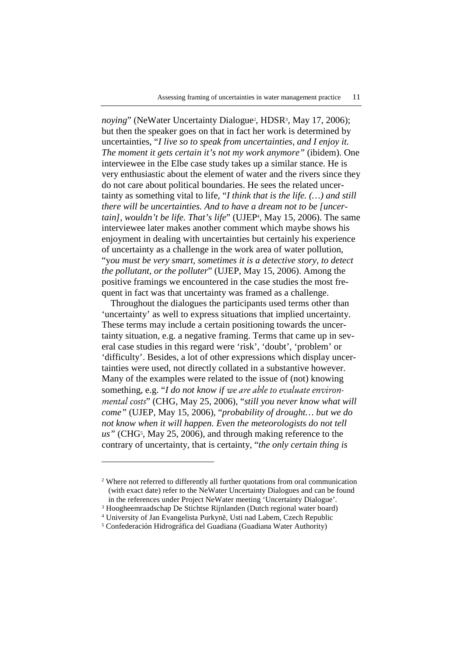noying" (NeWater Uncertainty Dialogue<sup>2</sup>, HDSR<sup>3</sup>, May 17, 2006); but then the speaker goes on that in fact her work is determined by uncertainties, "*I live so to speak from uncertainties, and I enjoy it. The moment it gets certain it's not my work anymore"* (ibidem). One interviewee in the Elbe case study takes up a similar stance. He is very enthusiastic about the element of water and the rivers since they do not care about political boundaries. He sees the related uncertainty as something vital to life, "*I think that is the life. (…) and still there will be uncertainties. And to have a dream not to be [uncertain], wouldn't be life. That's life*" (UJEP<sup>4</sup> , May 15, 2006). The same interviewee later makes another comment which maybe shows his enjoyment in dealing with uncertainties but certainly his experience of uncertainty as a challenge in the work area of water pollution, "y*ou must be very smart, sometimes it is a detective story, to detect the pollutant, or the polluter*" (UJEP, May 15, 2006). Among the positive framings we encountered in the case studies the most frequent in fact was that uncertainty was framed as a challenge.

Throughout the dialogues the participants used terms other than 'uncertainty' as well to express situations that implied uncertainty. These terms may include a certain positioning towards the uncertainty situation, e.g. a negative framing. Terms that came up in several case studies in this regard were 'risk', 'doubt', 'problem' or 'difficulty'. Besides, a lot of other expressions which display uncertainties were used, not directly collated in a substantive however. Many of the examples were related to the issue of (not) knowing something, e.g. "*I do not know if* we are able to evaluate environmental costs" (CHG, May 25, 2006), "*still you never know what will come"* (UJEP, May 15, 2006), "*probability of drought… but we do not know when it will happen. Even the meteorologists do not tell*  us" (CHG<sup>5</sup>, May 25, 2006), and through making reference to the contrary of uncertainty, that is certainty, "*the only certain thing is* 

 $\overline{a}$ 

<sup>2</sup> Where not referred to differently all further quotations from oral communication (with exact date) refer to the NeWater Uncertainty Dialogues and can be found in the references under Project NeWater meeting 'Uncertainty Dialogue'.

<sup>3</sup> Hoogheemraadschap De Stichtse Rijnlanden (Dutch regional water board)

<sup>4</sup> University of Jan Evangelista Purkyně, Usti nad Labem, Czech Republic

<sup>5</sup> Confederación Hidrográfica del Guadiana (Guadiana Water Authority)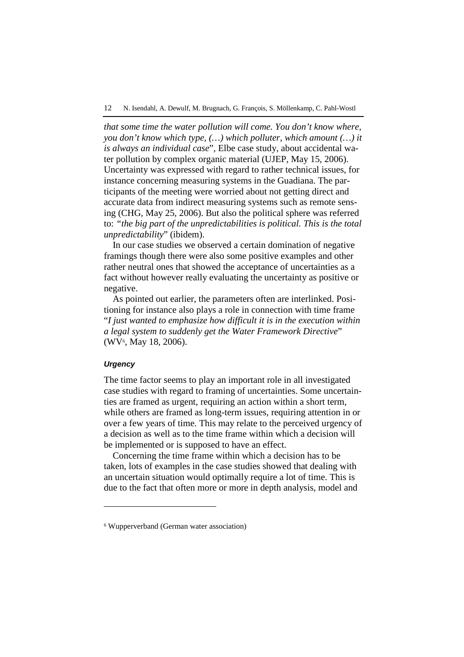*that some time the water pollution will come. You don't know where, you don't know which type, (…) which polluter, which amount (…) it is always an individual case*", Elbe case study, about accidental water pollution by complex organic material (UJEP, May 15, 2006). Uncertainty was expressed with regard to rather technical issues, for instance concerning measuring systems in the Guadiana. The participants of the meeting were worried about not getting direct and accurate data from indirect measuring systems such as remote sensing (CHG, May 25, 2006). But also the political sphere was referred to: *"the big part of the unpredictabilities is political. This is the total unpredictability*" (ibidem).

In our case studies we observed a certain domination of negative framings though there were also some positive examples and other rather neutral ones that showed the acceptance of uncertainties as a fact without however really evaluating the uncertainty as positive or negative.

As pointed out earlier, the parameters often are interlinked. Positioning for instance also plays a role in connection with time frame "*I just wanted to emphasize how difficult it is in the execution within a legal system to suddenly get the Water Framework Directive*" (WV<sup>6</sup>, May 18, 2006).

### **Urgency**

 $\overline{a}$ 

The time factor seems to play an important role in all investigated case studies with regard to framing of uncertainties. Some uncertainties are framed as urgent, requiring an action within a short term, while others are framed as long-term issues, requiring attention in or over a few years of time. This may relate to the perceived urgency of a decision as well as to the time frame within which a decision will be implemented or is supposed to have an effect.

Concerning the time frame within which a decision has to be taken, lots of examples in the case studies showed that dealing with an uncertain situation would optimally require a lot of time. This is due to the fact that often more or more in depth analysis, model and

<sup>6</sup> Wupperverband (German water association)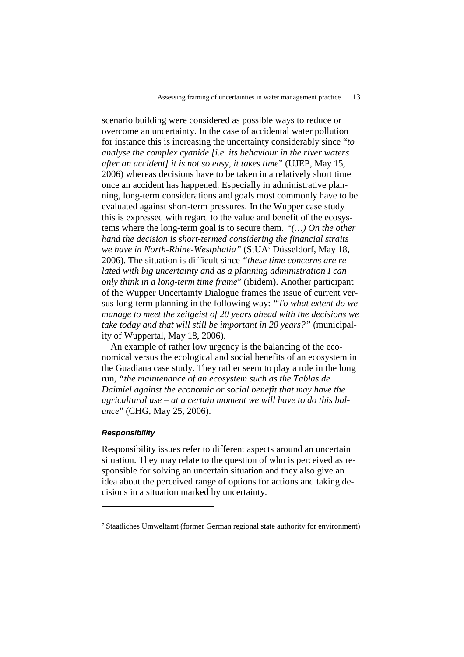scenario building were considered as possible ways to reduce or overcome an uncertainty. In the case of accidental water pollution for instance this is increasing the uncertainty considerably since "*to analyse the complex cyanide [i.e. its behaviour in the river waters after an accident] it is not so easy, it takes time*" (UJEP, May 15, 2006) whereas decisions have to be taken in a relatively short time once an accident has happened. Especially in administrative planning, long-term considerations and goals most commonly have to be evaluated against short-term pressures. In the Wupper case study this is expressed with regard to the value and benefit of the ecosystems where the long-term goal is to secure them. *"(…) On the other hand the decision is short-termed considering the financial straits we have in North-Rhine-Westphalia"* (StUA<sup>7</sup> Düsseldorf, May 18, 2006). The situation is difficult since *"these time concerns are related with big uncertainty and as a planning administration I can only think in a long-term time frame*" (ibidem). Another participant of the Wupper Uncertainty Dialogue frames the issue of current versus long-term planning in the following way: *"To what extent do we manage to meet the zeitgeist of 20 years ahead with the decisions we take today and that will still be important in 20 years?"* (municipality of Wuppertal, May 18, 2006).

An example of rather low urgency is the balancing of the economical versus the ecological and social benefits of an ecosystem in the Guadiana case study. They rather seem to play a role in the long run, *"the maintenance of an ecosystem such as the Tablas de Daimiel against the economic or social benefit that may have the agricultural use – at a certain moment we will have to do this balance*" (CHG, May 25, 2006).

#### **Responsibility**

 $\overline{a}$ 

Responsibility issues refer to different aspects around an uncertain situation. They may relate to the question of who is perceived as responsible for solving an uncertain situation and they also give an idea about the perceived range of options for actions and taking decisions in a situation marked by uncertainty.

<sup>7</sup> Staatliches Umweltamt (former German regional state authority for environment)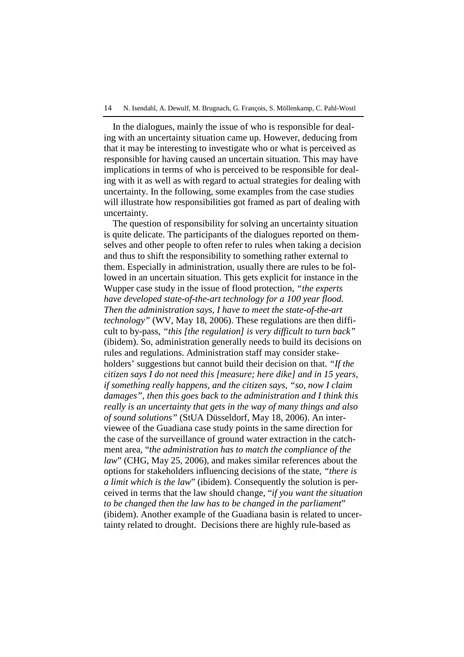#### 14 N. Isendahl, A. Dewulf, M. Brugnach, G. François, S. Möllenkamp, C. Pahl-Wostl

In the dialogues, mainly the issue of who is responsible for dealing with an uncertainty situation came up. However, deducing from that it may be interesting to investigate who or what is perceived as responsible for having caused an uncertain situation. This may have implications in terms of who is perceived to be responsible for dealing with it as well as with regard to actual strategies for dealing with uncertainty. In the following, some examples from the case studies will illustrate how responsibilities got framed as part of dealing with uncertainty.

The question of responsibility for solving an uncertainty situation is quite delicate. The participants of the dialogues reported on themselves and other people to often refer to rules when taking a decision and thus to shift the responsibility to something rather external to them. Especially in administration, usually there are rules to be followed in an uncertain situation. This gets explicit for instance in the Wupper case study in the issue of flood protection, *"the experts have developed state-of-the-art technology for a 100 year flood. Then the administration says, I have to meet the state-of-the-art technology"* (WV, May 18, 2006). These regulations are then difficult to by-pass, *"this [the regulation] is very difficult to turn back"* (ibidem). So, administration generally needs to build its decisions on rules and regulations. Administration staff may consider stakeholders' suggestions but cannot build their decision on that. *"If the citizen says I do not need this [measure; here dike] and in 15 years, if something really happens, and the citizen says, "so, now I claim damages", then this goes back to the administration and I think this really is an uncertainty that gets in the way of many things and also of sound solutions"* (StUA Düsseldorf, May 18, 2006). An interviewee of the Guadiana case study points in the same direction for the case of the surveillance of ground water extraction in the catchment area, "*the administration has to match the compliance of the law*" (CHG, May 25, 2006), and makes similar references about the options for stakeholders influencing decisions of the state, *"there is a limit which is the law*" (ibidem). Consequently the solution is perceived in terms that the law should change, "*if you want the situation to be changed then the law has to be changed in the parliament*" (ibidem). Another example of the Guadiana basin is related to uncertainty related to drought. Decisions there are highly rule-based as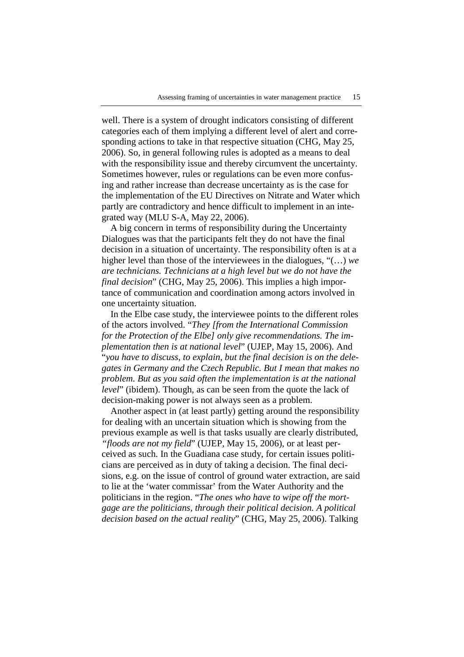well. There is a system of drought indicators consisting of different categories each of them implying a different level of alert and corresponding actions to take in that respective situation (CHG, May 25, 2006). So, in general following rules is adopted as a means to deal with the responsibility issue and thereby circumvent the uncertainty. Sometimes however, rules or regulations can be even more confusing and rather increase than decrease uncertainty as is the case for the implementation of the EU Directives on Nitrate and Water which partly are contradictory and hence difficult to implement in an integrated way (MLU S-A, May 22, 2006).

A big concern in terms of responsibility during the Uncertainty Dialogues was that the participants felt they do not have the final decision in a situation of uncertainty. The responsibility often is at a higher level than those of the interviewees in the dialogues, "(…) *we are technicians. Technicians at a high level but we do not have the final decision*" (CHG, May 25, 2006). This implies a high importance of communication and coordination among actors involved in one uncertainty situation.

In the Elbe case study, the interviewee points to the different roles of the actors involved. "*They [from the International Commission for the Protection of the Elbe] only give recommendations. The implementation then is at national level*" (UJEP, May 15, 2006). And "*you have to discuss, to explain, but the final decision is on the delegates in Germany and the Czech Republic. But I mean that makes no problem. But as you said often the implementation is at the national level*" (ibidem). Though, as can be seen from the quote the lack of decision-making power is not always seen as a problem.

Another aspect in (at least partly) getting around the responsibility for dealing with an uncertain situation which is showing from the previous example as well is that tasks usually are clearly distributed, *"floods are not my field*" (UJEP, May 15, 2006), or at least perceived as such. In the Guadiana case study, for certain issues politicians are perceived as in duty of taking a decision. The final decisions, e.g. on the issue of control of ground water extraction, are said to lie at the 'water commissar' from the Water Authority and the politicians in the region. "*The ones who have to wipe off the mortgage are the politicians, through their political decision. A political decision based on the actual reality*" (CHG, May 25, 2006). Talking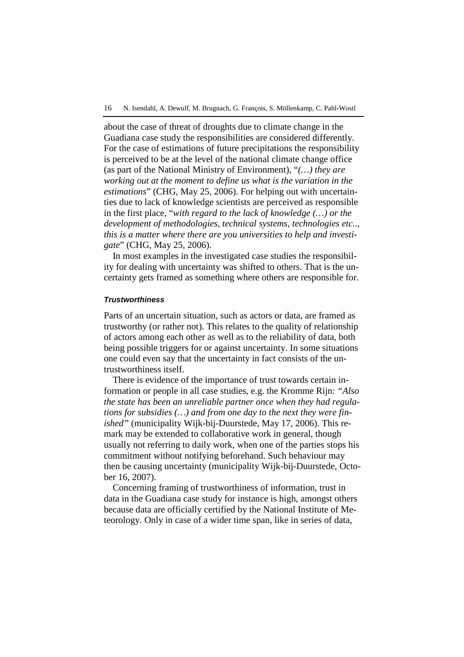about the case of threat of droughts due to climate change in the Guadiana case study the responsibilities are considered differently. For the case of estimations of future precipitations the responsibility is perceived to be at the level of the national climate change office (as part of the National Ministry of Environment), "*(…) they are working out at the moment to define us what is the variation in the estimations*" (CHG, May 25, 2006). For helping out with uncertainties due to lack of knowledge scientists are perceived as responsible in the first place, "*with regard to the lack of knowledge (…) or the development of methodologies, technical systems, technologies etc.., this is a matter where there are you universities to help and investigate*" (CHG, May 25, 2006).

In most examples in the investigated case studies the responsibility for dealing with uncertainty was shifted to others. That is the uncertainty gets framed as something where others are responsible for.

#### **Trustworthiness**

Parts of an uncertain situation, such as actors or data, are framed as trustworthy (or rather not). This relates to the quality of relationship of actors among each other as well as to the reliability of data, both being possible triggers for or against uncertainty. In some situations one could even say that the uncertainty in fact consists of the untrustworthiness itself.

There is evidence of the importance of trust towards certain information or people in all case studies, e.g. the Kromme Rijn: *"Also the state has been an unreliable partner once when they had regulations for subsidies (…) and from one day to the next they were finished"* (municipality Wijk-bij-Duurstede, May 17, 2006). This remark may be extended to collaborative work in general, though usually not referring to daily work, when one of the parties stops his commitment without notifying beforehand. Such behaviour may then be causing uncertainty (municipality Wijk-bij-Duurstede, October 16, 2007).

Concerning framing of trustworthiness of information, trust in data in the Guadiana case study for instance is high, amongst others because data are officially certified by the National Institute of Meteorology. Only in case of a wider time span, like in series of data,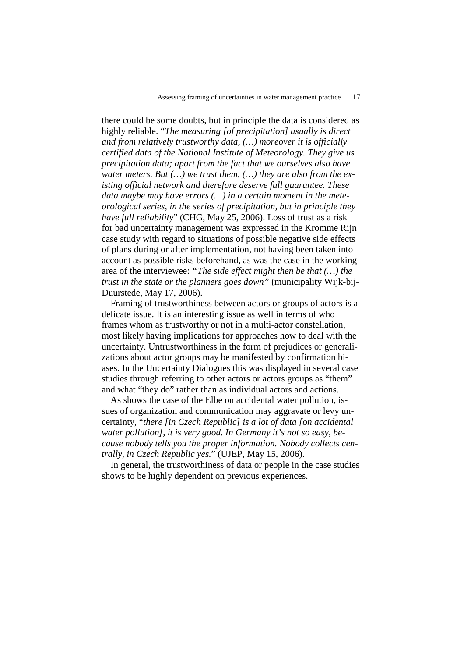there could be some doubts, but in principle the data is considered as highly reliable. "*The measuring [of precipitation] usually is direct and from relatively trustworthy data, (…) moreover it is officially certified data of the National Institute of Meteorology. They give us precipitation data; apart from the fact that we ourselves also have water meters. But (…) we trust them, (…) they are also from the existing official network and therefore deserve full guarantee. These data maybe may have errors (…) in a certain moment in the meteorological series, in the series of precipitation, but in principle they have full reliability*" (CHG, May 25, 2006). Loss of trust as a risk for bad uncertainty management was expressed in the Kromme Rijn case study with regard to situations of possible negative side effects of plans during or after implementation, not having been taken into account as possible risks beforehand, as was the case in the working area of the interviewee: *"The side effect might then be that (…) the trust in the state or the planners goes down"* (municipality Wijk-bij-Duurstede, May 17, 2006).

Framing of trustworthiness between actors or groups of actors is a delicate issue. It is an interesting issue as well in terms of who frames whom as trustworthy or not in a multi-actor constellation, most likely having implications for approaches how to deal with the uncertainty. Untrustworthiness in the form of prejudices or generalizations about actor groups may be manifested by confirmation biases. In the Uncertainty Dialogues this was displayed in several case studies through referring to other actors or actors groups as "them" and what "they do" rather than as individual actors and actions.

As shows the case of the Elbe on accidental water pollution, issues of organization and communication may aggravate or levy uncertainty, "*there [in Czech Republic] is a lot of data [on accidental water pollution], it is very good. In Germany it's not so easy, because nobody tells you the proper information. Nobody collects centrally, in Czech Republic yes.*" (UJEP, May 15, 2006).

In general, the trustworthiness of data or people in the case studies shows to be highly dependent on previous experiences.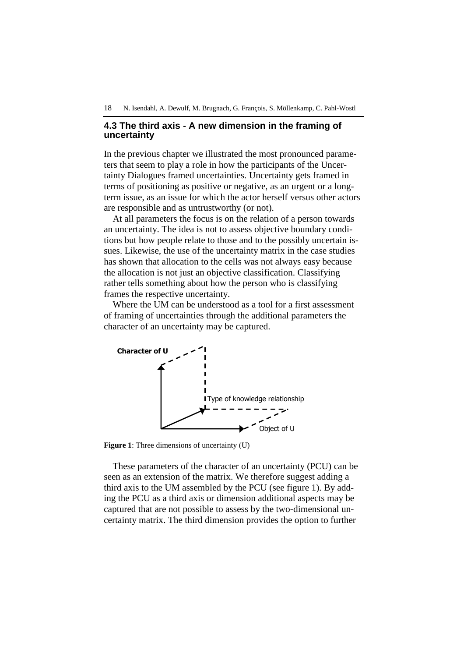# **4.3 The third axis - A new dimension in the framing of uncertainty**

In the previous chapter we illustrated the most pronounced parameters that seem to play a role in how the participants of the Uncertainty Dialogues framed uncertainties. Uncertainty gets framed in terms of positioning as positive or negative, as an urgent or a longterm issue, as an issue for which the actor herself versus other actors are responsible and as untrustworthy (or not).

At all parameters the focus is on the relation of a person towards an uncertainty. The idea is not to assess objective boundary conditions but how people relate to those and to the possibly uncertain issues. Likewise, the use of the uncertainty matrix in the case studies has shown that allocation to the cells was not always easy because the allocation is not just an objective classification. Classifying rather tells something about how the person who is classifying frames the respective uncertainty.

Where the UM can be understood as a tool for a first assessment of framing of uncertainties through the additional parameters the character of an uncertainty may be captured.



**Figure 1**: Three dimensions of uncertainty (U)

These parameters of the character of an uncertainty (PCU) can be seen as an extension of the matrix. We therefore suggest adding a third axis to the UM assembled by the PCU (see figure 1). By adding the PCU as a third axis or dimension additional aspects may be captured that are not possible to assess by the two-dimensional uncertainty matrix. The third dimension provides the option to further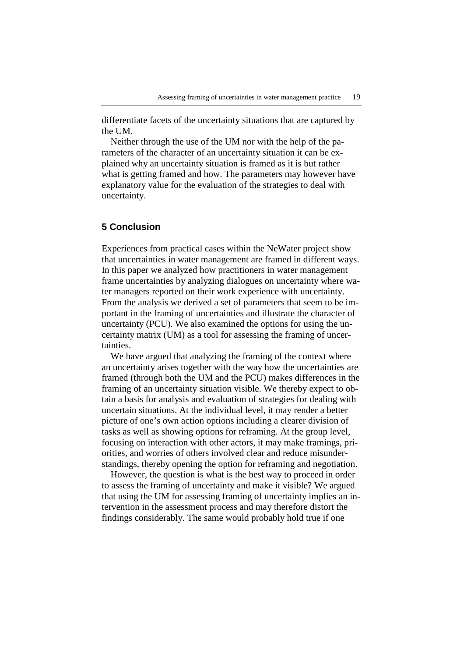differentiate facets of the uncertainty situations that are captured by the UM.

Neither through the use of the UM nor with the help of the parameters of the character of an uncertainty situation it can be explained why an uncertainty situation is framed as it is but rather what is getting framed and how. The parameters may however have explanatory value for the evaluation of the strategies to deal with uncertainty.

# **5 Conclusion**

Experiences from practical cases within the NeWater project show that uncertainties in water management are framed in different ways. In this paper we analyzed how practitioners in water management frame uncertainties by analyzing dialogues on uncertainty where water managers reported on their work experience with uncertainty. From the analysis we derived a set of parameters that seem to be important in the framing of uncertainties and illustrate the character of uncertainty (PCU). We also examined the options for using the uncertainty matrix (UM) as a tool for assessing the framing of uncertainties.

We have argued that analyzing the framing of the context where an uncertainty arises together with the way how the uncertainties are framed (through both the UM and the PCU) makes differences in the framing of an uncertainty situation visible. We thereby expect to obtain a basis for analysis and evaluation of strategies for dealing with uncertain situations. At the individual level, it may render a better picture of one's own action options including a clearer division of tasks as well as showing options for reframing. At the group level, focusing on interaction with other actors, it may make framings, priorities, and worries of others involved clear and reduce misunderstandings, thereby opening the option for reframing and negotiation.

However, the question is what is the best way to proceed in order to assess the framing of uncertainty and make it visible? We argued that using the UM for assessing framing of uncertainty implies an intervention in the assessment process and may therefore distort the findings considerably. The same would probably hold true if one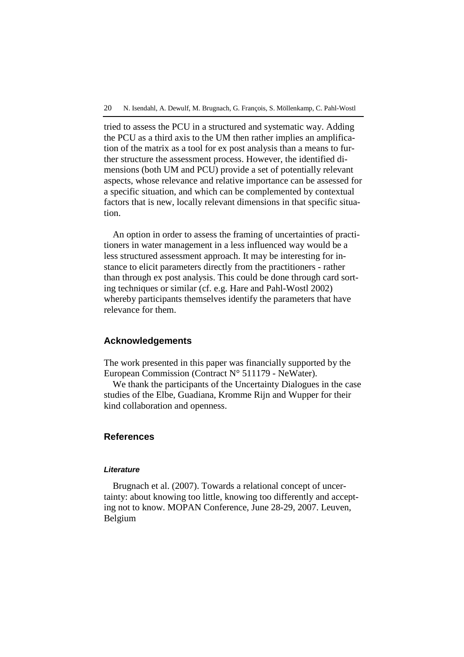tried to assess the PCU in a structured and systematic way. Adding the PCU as a third axis to the UM then rather implies an amplification of the matrix as a tool for ex post analysis than a means to further structure the assessment process. However, the identified dimensions (both UM and PCU) provide a set of potentially relevant aspects, whose relevance and relative importance can be assessed for a specific situation, and which can be complemented by contextual factors that is new, locally relevant dimensions in that specific situation.

An option in order to assess the framing of uncertainties of practitioners in water management in a less influenced way would be a less structured assessment approach. It may be interesting for instance to elicit parameters directly from the practitioners - rather than through ex post analysis. This could be done through card sorting techniques or similar (cf. e.g. Hare and Pahl-Wostl 2002) whereby participants themselves identify the parameters that have relevance for them.

### **Acknowledgements**

The work presented in this paper was financially supported by the European Commission (Contract N° 511179 - NeWater).

We thank the participants of the Uncertainty Dialogues in the case studies of the Elbe, Guadiana, Kromme Rijn and Wupper for their kind collaboration and openness.

### **References**

### **Literature**

Brugnach et al. (2007). Towards a relational concept of uncertainty: about knowing too little, knowing too differently and accepting not to know. MOPAN Conference, June 28-29, 2007. Leuven, Belgium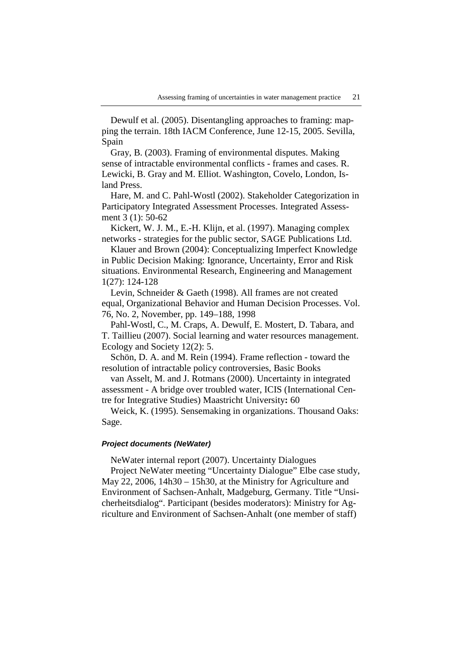Dewulf et al. (2005). Disentangling approaches to framing: mapping the terrain. 18th IACM Conference, June 12-15, 2005. Sevilla, Spain

Gray, B. (2003). Framing of environmental disputes. Making sense of intractable environmental conflicts - frames and cases. R. Lewicki, B. Gray and M. Elliot. Washington, Covelo, London, Island Press.

Hare, M. and C. Pahl-Wostl (2002). Stakeholder Categorization in Participatory Integrated Assessment Processes. Integrated Assessment 3 (1): 50-62

Kickert, W. J. M., E.-H. Klijn, et al. (1997). Managing complex networks - strategies for the public sector, SAGE Publications Ltd.

Klauer and Brown (2004): Conceptualizing Imperfect Knowledge in Public Decision Making: Ignorance, Uncertainty, Error and Risk situations. Environmental Research, Engineering and Management 1(27): 124-128

Levin, Schneider & Gaeth (1998). All frames are not created equal, Organizational Behavior and Human Decision Processes. Vol. 76, No. 2, November, pp. 149–188, 1998

Pahl-Wostl, C., M. Craps, A. Dewulf, E. Mostert, D. Tabara, and T. Taillieu (2007). Social learning and water resources management. Ecology and Society 12(2): 5.

Schön, D. A. and M. Rein (1994). Frame reflection - toward the resolution of intractable policy controversies, Basic Books

van Asselt, M. and J. Rotmans (2000). Uncertainty in integrated assessment - A bridge over troubled water, ICIS (International Centre for Integrative Studies) Maastricht University**:** 60

Weick, K. (1995). Sensemaking in organizations. Thousand Oaks: Sage.

### **Project documents (NeWater)**

NeWater internal report (2007). Uncertainty Dialogues

Project NeWater meeting "Uncertainty Dialogue" Elbe case study, May 22, 2006, 14h30 – 15h30, at the Ministry for Agriculture and Environment of Sachsen-Anhalt, Madgeburg, Germany. Title "Unsicherheitsdialog". Participant (besides moderators): Ministry for Agriculture and Environment of Sachsen-Anhalt (one member of staff)